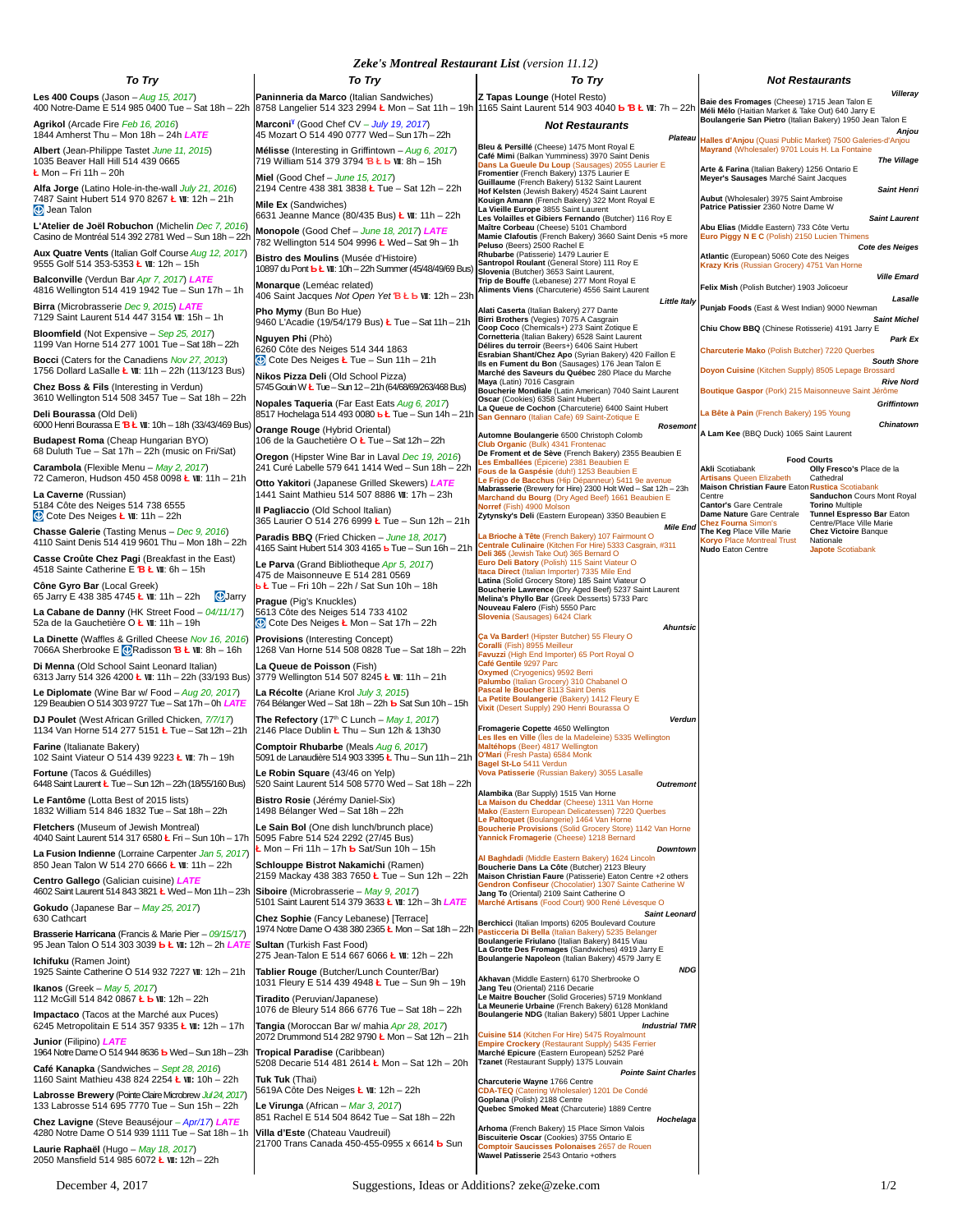| Zeke's Montreal Restaurant List (version 11.12) |  |  |
|-------------------------------------------------|--|--|
|-------------------------------------------------|--|--|

|                                                                                                                                        | <b>Zeke's Montreal Restaurant List (version 11.12)</b>                                                                                                                                                                                                    |                                                                                                                                                                         |                                                                                                                                                                      |
|----------------------------------------------------------------------------------------------------------------------------------------|-----------------------------------------------------------------------------------------------------------------------------------------------------------------------------------------------------------------------------------------------------------|-------------------------------------------------------------------------------------------------------------------------------------------------------------------------|----------------------------------------------------------------------------------------------------------------------------------------------------------------------|
| <b>To Try</b>                                                                                                                          | To Try                                                                                                                                                                                                                                                    | <b>To Try</b>                                                                                                                                                           | <b>Not Restaurants</b><br>Villeray                                                                                                                                   |
| <b>Les 400 Coups (Jason - Aug 15, 2017)</b><br>400 Notre-Dame E 514 985 0400 Tue - Sat 18h - 22h<br>Agrikol (Arcade Fire Feb 16, 2016) | Paninneria da Marco (Italian Sandwiches)<br>8758 Langelier 514 323 2994 L Mon - Sat 11h - 19h 1165 Saint Laurent 514 903 4040 b B L WI: 7h - 22h Meir Meio (Haitian Market & Take Out) 640 Jarry E<br>Marconi <sup>y</sup> (Good Chef CV - July 19, 2017) | Z Tapas Lounge (Hotel Resto)                                                                                                                                            | Baie des Fromages (Cheese) 1715 Jean Talon E<br>Boulangerie San Pietro (Italian Bakery) 1950 Jean Talon E                                                            |
| 1844 Amherst Thu - Mon 18h - 24h LATE                                                                                                  | 45 Mozart O 514 490 0777 Wed – Sun 17h – 22h                                                                                                                                                                                                              | <b>Not Restaurants</b>                                                                                                                                                  | Anjou<br>Plateau Halles d'Anjou (Quasi Public Market) 7500 Galeries-d'Anjou                                                                                          |
| Albert (Jean-Philippe Tastet June 11, 2015)<br>1035 Beaver Hall Hill 514 439 0665                                                      | Mélisse (Interesting in Griffintown - Aug 6, 2017)<br>719 William 514 379 3794 <b>BŁb WI: 8h</b> - 15h                                                                                                                                                    | Bleu & Persillé (Cheese) 1475 Mont Royal E<br>Café Mimi (Balkan Yumminess) 3970 Saint Denis<br>Dans La Gueule Du Loup (Sausages) 2055 Laurier E                         | Mayrand (Wholesaler) 9701 Louis H. La Fontaine<br><b>The Village</b><br>Arte & Farina (Italian Bakery) 1256 Ontario E                                                |
| <b>Ł</b> Mon – Fri 11h – 20h<br>Alfa Jorge (Latino Hole-in-the-wall July 21, 2016)                                                     | Miel (Good Chef - June 15, 2017)<br>2194 Centre 438 381 3838 L Tue - Sat 12h - 22h                                                                                                                                                                        | Fromentier (French Bakery) 1375 Laurier E<br>Guillaume (French Bakery) 5132 Saint Laurent<br>Hof Kelsten (Jewish Bakery) 4524 Saint Laurent                             | Meyer's Sausages Marché Saint Jacques<br><b>Saint Henri</b><br>Aubut (Wholesaler) 3975 Saint Ambroise                                                                |
| 7487 Saint Hubert 514 970 8267 L WI: 12h - 21h<br><b>Jean Talon</b>                                                                    | Mile Ex (Sandwiches)<br>6631 Jeanne Mance (80/435 Bus) Ł WI: 11h - 22h                                                                                                                                                                                    | Kouign Amann (French Bakery) 322 Mont Royal E<br>La Vieille Europe 3855 Saint Laurent<br>Les Volailles et Gibiers Fernando (Butcher) 116 Roy E                          | Patrice Patissier 2360 Notre Dame W<br><b>Saint Laurent</b>                                                                                                          |
| L'Atelier de Joël Robuchon (Michelin Dec 7, 2016)<br>Casino de Montréal 514 392 2781 Wed - Sun 18h - 22h                               | Monopole (Good Chef - June 18, 2017) LATE<br>782 Wellington 514 504 9996 L Wed - Sat 9h - 1h                                                                                                                                                              | Maître Corbeau (Cheese) 5101 Chambord<br>Mamie Clafoutis (French Bakery) 3660 Saint Denis +5 more<br>Peluso (Beers) 2500 Rachel E                                       | Abu Elias (Middle Eastern) 733 Côte Vertu<br>Euro Piggy N E C (Polish) 2150 Lucien Thimens<br><b>Cote des Neiges</b>                                                 |
| Aux Quatre Vents (Italian Golf Course Aug 12, 2017)<br>9555 Golf 514 353-5353 Ł WI: 12h - 15h                                          | Bistro des Moulins (Musée d'Histoire)<br>10897 du Pont <b>b Ł W</b> I: 10h - 22h Summer (45/48/49/69 Bus)                                                                                                                                                 | Rhubarbe (Patisserie) 1479 Laurier E<br>Santropol Roulant (General Store) 111 Roy E<br>Slovenia (Butcher) 3653 Saint Laurent,                                           | Atlantic (European) 5060 Cote des Neiges<br>Krazy Kris (Russian Grocery) 4751 Van Horne                                                                              |
| Balconville (Verdun Bar Apr 7, 2017) LATE<br>4816 Wellington 514 419 1942 Tue - Sun 17h - 1h                                           | Monarque (Leméac related)<br>406 Saint Jacques Not Open Yet <b>B Ł Ь W</b> I: 12h - 23h                                                                                                                                                                   | Trip de Bouffe (Lebanese) 277 Mont Royal E<br>Aliments Viens (Charcuterie) 4556 Saint Laurent<br><b>Little Italy</b>                                                    | <b>Ville Emard</b><br>Felix Mish (Polish Butcher) 1903 Jolicoeur<br>Lasalle                                                                                          |
| Birra (Microbrasserie Dec 9, 2015) LATE<br>7129 Saint Laurent 514 447 3154 WI: 15h - 1h                                                | Pho Mymy (Bun Bo Hue)<br>9460 L'Acadie (19/54/179 Bus) L Tue - Sat 11h - 21h                                                                                                                                                                              | Alati Caserta (Italian Bakery) 277 Dante<br>Birri Brothers (Vegies) 7075 A Casgrain<br>Coop Coco (Chemicals+) 273 Saint Zotique E                                       | Punjab Foods (East & West Indian) 9000 Newman<br><b>Saint Michel</b><br>Chiu Chow BBQ (Chinese Rotisserie) 4191 Jarry E                                              |
| Bloomfield (Not Expensive - Sep 25, 2017)<br>1199 Van Horne 514 277 1001 Tue - Sat 18h - 22h                                           | Nguyen Phi (Phò)<br>6260 Côte des Neiges 514 344 1863                                                                                                                                                                                                     | Cornetteria (Italian Bakery) 6528 Saint Laurent<br>Délires du terroir (Beers+) 6406 Saint Hubert<br>Esrabian Shant/Chez Apo (Syrian Bakery) 420 Faillon E               | Park Ex<br>Charcuterie Mako (Polish Butcher) 7220 Querbes                                                                                                            |
| Bocci (Caters for the Canadiens Nov 27, 2013)<br>1756 Dollard LaSalle <b>Ł WI</b> : 11h - 22h (113/123 Bus)                            | $\bigcirc$ Cote Des Neiges <b>Ł</b> Tue – Sun 11h – 21h<br>Nikos Pizza Deli (Old School Pizza)                                                                                                                                                            | Ils en Fument du Bon (Sausages) 176 Jean Talon E<br>Marché des Saveurs du Québec 280 Place du Marche                                                                    | <b>South Shore</b><br>Doyon Cuisine (Kitchen Supply) 8505 Lepage Brossard                                                                                            |
| <b>Chez Boss &amp; Fils (Interesting in Verdun)</b><br>3610 Wellington 514 508 3457 Tue - Sat 18h - 22h                                | 5745 Gouin W Ł Tue - Sun 12 - 21h (64/68/69/263/468 Bus)<br>Nopales Taqueria (Far East Eats Aug 6, 2017)                                                                                                                                                  | Maya (Latin) 7016 Casgrain<br>Boucherie Mondiale (Latin American) 7040 Saint Laurent<br>Oscar (Cookies) 6358 Saint Hubert                                               | <b>Rive Nord</b><br>Boutique Gaspor (Pork) 215 Maisonneuve Saint Jérôme<br>Griffintown                                                                               |
| Deli Bourassa (Old Deli)<br>6000 Henri Bourassa E <b>B Ł W</b> I: 10h - 18h (33/43/469 Bus                                             | 8517 Hochelaga 514 493 0080 <b>b Ł</b> Tue - Sun 14h - 21h<br>Orange Rouge (Hybrid Oriental)                                                                                                                                                              | La Queue de Cochon (Charcuterie) 6400 Saint Hubert<br>San Gennaro (Italian Cafe) 69 Saint-Zotique E<br>Rosemont                                                         | La Bête à Pain (French Bakery) 195 Young<br>Chinatown                                                                                                                |
| Budapest Roma (Cheap Hungarian BYO)<br>68 Duluth Tue - Sat 17h - 22h (music on Fri/Sat)                                                | 106 de la Gauchetière O Ł Tue - Sat 12h - 22h                                                                                                                                                                                                             | Automne Boulangerie 6500 Christoph Colomb<br>Club Organic (Bulk) 4341 Frontenac<br>De Froment et de Sève (French Bakery) 2355 Beaubien E                                | A Lam Kee (BBQ Duck) 1065 Saint Laurent                                                                                                                              |
| Carambola (Flexible Menu - May 2, 2017)<br>72 Cameron, Hudson 450 458 0098 Ł WI: 11h - 21h                                             | Oregon (Hipster Wine Bar in Laval Dec 19, 2016)<br>241 Curé Labelle 579 641 1414 Wed - Sun 18h - 22h                                                                                                                                                      | Les Emballées (Épicerie) 2381 Beaubien E<br>Fous de la Gaspésie (duh!) 1253 Beaubien E                                                                                  | <b>Food Courts</b><br>Olly Fresco's Place de la<br><b>Akli Scotiabank</b><br><b>Artisans Queen Elizabeth</b><br>Cathedral                                            |
| La Caverne (Russian)                                                                                                                   | Otto Yakitori (Japanese Grilled Skewers) LATE<br>1441 Saint Mathieu 514 507 8886 WI: 17h - 23h                                                                                                                                                            | Le Frigo de Bacchus (Hip Dépanneur) 5411 9e avenue<br>Mabrasserie (Brewery for Hire) 2300 Holt Wed - Sat 12h - 23h<br>Marchand du Bourg (Dry Aged Beef) 1661 Beaubien E | Maison Christian Faure Eaton Rustica Scotiabank<br>Sanduchon Cours Mont Royal<br>Centre                                                                              |
| 5184 Côte des Neiges 514 738 6555<br>$\circ$ Cote Des Neiges <b>Ł \ullection</b> : 11h - 22h                                           | Il Pagliaccio (Old School Italian)<br>365 Laurier O 514 276 6999 Ł Tue - Sun 12h - 21h                                                                                                                                                                    | Norref (Fish) 4900 Molson<br>Zytynsky's Deli (Eastern European) 3350 Beaubien E<br><b>Mile End</b>                                                                      | Cantor's Gare Centrale<br><b>Torino Multiple</b><br>Dame Nature Gare Centrale<br>Tunnel Espresso Bar Eaton<br>Centre/Place Ville Marie<br><b>Chez Fourna Simon's</b> |
| Chasse Galerie (Tasting Menus - Dec 9, 2016)<br>4110 Saint Denis 514 419 9601 Thu - Mon 18h - 22h                                      | Paradis BBQ (Fried Chicken - June 18, 2017)<br>4165 Saint Hubert 514 303 4165 b Tue - Sun 16h - 21h                                                                                                                                                       | La Brioche à Tête (French Bakery) 107 Fairmount O<br>Centrale Culinaire (Kitchen For Hire) 5333 Casgrain, #311<br>Deli 365 (Jewish Take Out) 365 Bernard O              | The Keg Place Ville Marie<br><b>Chez Victoire Banque</b><br>Koryo Place Montreal Trust<br>Nationale<br><b>Nudo Eaton Centre</b><br><b>Japote Scotiabank</b>          |
| Casse Croûte Chez Pagi (Breakfast in the East)<br>4518 Sainte Catherine E $B L W$ : 6h - 15h                                           | Le Parva (Grand Bibliotheque Apr 5, 2017)<br>475 de Maisonneuve E 514 281 0569                                                                                                                                                                            | Euro Deli Batory (Polish) 115 Saint Viateur O<br>Itaca Direct (Italian Importer) 7335 Mile End<br>Latina (Solid Grocery Store) 185 Saint Viateur O                      |                                                                                                                                                                      |
| Cône Gyro Bar (Local Greek)<br><b>U</b> Jarry<br>65 Jarry E 438 385 4745 Ł WI: 11h - 22h                                               | <b>ь Ł</b> Tue – Fri 10h – 22h / Sat Sun 10h – 18h<br>Prague (Pig's Knuckles)                                                                                                                                                                             | Boucherie Lawrence (Dry Aged Beef) 5237 Saint Laurent<br>Melina's Phyllo Bar (Greek Desserts) 5733 Parc<br>Nouveau Falero (Fish) 5550 Parc                              |                                                                                                                                                                      |
| La Cabane de Danny (HK Street Food - 04/11/17)<br>52a de la Gauchetière O $L$ WI: 11h - 19h                                            | 5613 Côte des Neiges 514 733 4102<br>$\bigcirc$ Cote Des Neiges Ł Mon – Sat 17h – 22h                                                                                                                                                                     | Slovenia (Sausages) 6424 Clark<br><b>Ahuntsic</b>                                                                                                                       |                                                                                                                                                                      |
| La Dinette (Waffles & Grilled Cheese Nov 16, 2016)<br>7066A Sherbrooke E $\circledcirc$ Radisson <b>B Ł W</b> I: 8h - 16h              | <b>Provisions</b> (Interesting Concept)<br>1268 Van Horne 514 508 0828 Tue - Sat 18h - 22h                                                                                                                                                                | Ça Va Barder! (Hipster Butcher) 55 Fleury O<br>Coralli (Fish) 8955 Meilleur<br>Favuzzi (High End Importer) 65 Port Royal O                                              |                                                                                                                                                                      |
| Di Menna (Old School Saint Leonard Italian)<br>6313 Jarry 514 326 4200 L WI: 11h - 22h (33/193 Bus)                                    | La Queue de Poisson (Fish)<br>3779 Wellington 514 507 8245 <b>Ł WI: 11h</b> - 21h                                                                                                                                                                         | Café Gentile 9297 Parc<br>Oxymed (Cryogenics) 9592 Berri<br>Palumbo (Italian Grocery) 310 Chabanel O                                                                    |                                                                                                                                                                      |
| Le Diplomate (Wine Bar w/ Food $-Aug$ 20, 2017)<br>129 Beaubien O 514 303 9727 Tue - Sat 17h - 0h LATE                                 | La Récolte (Ariane Krol July 3, 2015)<br>764 Bélanger Wed - Sat 18h - 22h b Sat Sun 10h - 15h                                                                                                                                                             | Pascal le Boucher 8113 Saint Denis<br>La Petite Boulangerie (Bakery) 1412 Fleury E<br>Vixit (Desert Supply) 290 Henri Bourassa O                                        |                                                                                                                                                                      |
| DJ Poulet (West African Grilled Chicken, 7/7/17)<br>1134 Van Horne 514 277 5151 L Tue - Sat 12h - 21h                                  | The Refectory (17th C Lunch - May 1, 2017)<br>2146 Place Dublin L Thu - Sun 12h & 13h30                                                                                                                                                                   | Verdun<br>Fromagerie Copette 4650 Wellington<br>Les Iles en Ville (Îles de la Madeleine) 5335 Wellington                                                                |                                                                                                                                                                      |
| Farine (Italianate Bakery)<br>102 Saint Viateur O 514 439 9223 Ł WI: 7h - 19h                                                          | Comptoir Rhubarbe (Meals Aug 6, 2017)<br>5091 de Lanaudière 514 903 3395 Ł Thu - Sun 11h - 21h                                                                                                                                                            | Maltéhops (Beer) 4817 Wellington<br>O'Mari (Fresh Pasta) 6584 Monk<br>Bagel St-Lo 5411 Verdun                                                                           |                                                                                                                                                                      |
| Fortune (Tacos & Guédilles)<br>6448 Saint Laurent L Tue - Sun 12h - 22h (18/55/160 Bus)                                                | Le Robin Square (43/46 on Yelp)<br>520 Saint Laurent 514 508 5770 Wed - Sat 18h - 22h                                                                                                                                                                     | Vova Patisserie (Russian Bakery) 3055 Lasalle<br>Outremont<br>Alambika (Bar Supply) 1515 Van Horne                                                                      |                                                                                                                                                                      |
| Le Fantôme (Lotta Best of 2015 lists)<br>1832 William 514 846 1832 Tue - Sat 18h - 22h                                                 | Bistro Rosie (Jérémy Daniel-Six)<br>1498 Bélanger Wed - Sat 18h - 22h                                                                                                                                                                                     | La Maison du Cheddar (Cheese) 1311 Van Home<br>Mako (Eastern European Delicatessen) 7220 Querbes                                                                        |                                                                                                                                                                      |
| <b>Fletchers</b> (Museum of Jewish Montreal)<br>4040 Saint Laurent 514 317 6580 L Fri - Sun 10h - 17h                                  | Le Sain Bol (One dish lunch/brunch place)<br>5095 Fabre 514 524 2292 (27/45 Bus)                                                                                                                                                                          | Le Paltoquet (Boulangerie) 1464 Van Horne<br>Boucherie Provisions (Solid Grocery Store) 1142 Van Horne<br>Yannick Fromagerie (Cheese) 1218 Bernard                      |                                                                                                                                                                      |
| La Fusion Indienne (Lorraine Carpenter Jan 5, 2017)<br>850 Jean Talon W 514 270 6666 Ł WI: 11h - 22h                                   | <u>-</u> Mon – Fri 11h – 17h <del>b</del> Sat/Sun 10h – 15h<br>Schlouppe Bistrot Nakamichi (Ramen)                                                                                                                                                        | Downtown<br>Al Baghdadi (Middle Eastern Bakery) 1624 Lincoln<br>Boucherie Dans La Côte (Butcher) 2123 Bleury                                                            |                                                                                                                                                                      |
| Centro Gallego (Galician cuisine) LATE<br>4602 Saint Laurent 514 843 3821 Ł Wed - Mon 11h - 23h                                        | 2159 Mackay 438 383 7650 Ł Tue - Sun 12h - 22h<br>Siboire (Microbrasserie – May 9, 2017)                                                                                                                                                                  | Maison Christian Faure (Patisserie) Eaton Centre +2 others<br>Gendron Confiseur (Chocolatier) 1307 Sainte Catherine W<br>Jang To (Oriental) 2109 Saint Catherine O      |                                                                                                                                                                      |
| Gokudo (Japanese Bar - May 25, 2017)<br>630 Cathcart                                                                                   | 5101 Saint Laurent 514 379 3633 L VII: 12h - 3h LATE<br><b>Chez Sophie</b> (Fancy Lebanese) [Terrace]                                                                                                                                                     | Marché Artisans (Food Court) 900 René Lévesque O<br><b>Saint Leonard</b><br>Berchicci (Italian Imports) 6205 Boulevard Couture                                          |                                                                                                                                                                      |
| <b>Brasserie Harricana</b> (Francis & Marie Pier - 09/15/17)<br>95 Jean Talon O 514 303 3039 <b>b Ł WI:</b> 12h - 2h LATE              | 1974 Notre Dame O 438 380 2365 Ł Mon - Sat 18h - 22h<br>Sultan (Turkish Fast Food)                                                                                                                                                                        | Pasticceria Di Bella (Italian Bakery) 5235 Belanger<br>Boulangerie Friulano (Italian Bakery) 8415 Viau<br>La Grotte Des Fromages (Sandwiches) 4919 Jarry E              |                                                                                                                                                                      |
| Ichifuku (Ramen Joint)<br>1925 Sainte Catherine O 514 932 7227 WI: 12h - 21h                                                           | 275 Jean-Talon E 514 667 6066 Ł WI: 12h – 22h<br>Tablier Rouge (Butcher/Lunch Counter/Bar)                                                                                                                                                                | Boulangerie Napoleon (Italian Bakery) 4579 Jarry E<br><b>NDG</b><br>Akhavan (Middle Eastern) 6170 Sherbrooke O                                                          |                                                                                                                                                                      |
| <b>Ikanos</b> (Greek – May 5, 2017)<br>112 McGill 514 842 0867 Ł b WI: 12h - 22h                                                       | 1031 Fleury E 514 439 4948 L Tue - Sun 9h - 19h<br><b>Tiradito</b> (Peruvian/Japanese)                                                                                                                                                                    | Jang Teu (Oriental) 2116 Decarie<br>Le Maitre Boucher (Solid Groceries) 5719 Monkland                                                                                   |                                                                                                                                                                      |
| <b>Impactaco</b> (Tacos at the Marché aux Puces)<br>6245 Metropolitain E 514 357 9335 <b>Ł WI:</b> 12h – 17h                           | 1076 de Bleury 514 866 6776 Tue - Sat 18h - 22h<br>Tangia (Moroccan Bar w/ mahia Apr 28, 2017)                                                                                                                                                            | La Meunerie Urbaine (French Bakery) 6128 Monkland<br>Boulangerie NDG (Italian Bakery) 5801 Upper Lachine<br><b>Industrial TMR</b>                                       |                                                                                                                                                                      |
| Junior (Filipino) LATE<br>1964 Notre Dame O 514 944 8636 b Wed - Sun 18h - 23h                                                         | 2072 Drummond 514 282 9790 L Mon - Sat 12h - 21h<br>Tropical Paradise (Caribbean)                                                                                                                                                                         | Cuisine 514 (Kitchen For Hire) 5475 Royalmount<br>Empire Crockery (Restaurant Supply) 5435 Ferrier<br>Marché Epicure (Eastern European) 5252 Paré                       |                                                                                                                                                                      |
| Café Kanapka (Sandwiches - Sept 28, 2016)<br>1160 Saint Mathieu 438 824 2254 Ł WI: 10h - 22h                                           | 5208 Decarie 514 481 2614 Ł Mon – Sat 12h – 20h<br><b>Tuk Tuk</b> (Thai)                                                                                                                                                                                  | Tzanet (Restaurant Supply) 1375 Louvain<br><b>Pointe Saint Charles</b><br>Charcuterie Wayne 1766 Centre                                                                 |                                                                                                                                                                      |
| Labrosse Brewery (Pointe Claire Microbrew Jul 24, 2017)<br>133 Labrosse 514 695 7770 Tue - Sun 15h - 22h                               | 5619A Côte Des Neiges Ł WI: 12h - 22h<br>Le Virunga (African - Mar 3, 2017)                                                                                                                                                                               | CDA-TEQ (Catering Wholesaler) 1201 De Condé<br>Goplana (Polish) 2188 Centre                                                                                             |                                                                                                                                                                      |
| Chez Lavigne (Steve Beauséjour - Apr/17) LATE<br>4280 Notre Dame O 514 939 1111 Tue - Sat 18h - 1h                                     | 851 Rachel E 514 504 8642 Tue - Sat 18h - 22h<br>Villa d'Este (Chateau Vaudreuil)                                                                                                                                                                         | Quebec Smoked Meat (Charcuterie) 1889 Centre<br>Hochelaga<br>Arhoma (French Bakery) 15 Place Simon Valois                                                               |                                                                                                                                                                      |
| Laurie Raphaël (Hugo – May 18, 2017)                                                                                                   | 21700 Trans Canada 450-455-0955 x 6614 b Sun                                                                                                                                                                                                              | Biscuiterie Oscar (Cookies) 3755 Ontario E<br>Comptoir Saucisses Polonaises 2657 de Rouen<br>Wawel Patisserie 2543 Ontario +others                                      |                                                                                                                                                                      |
| 2050 Mansfield 514 985 6072 L WI: 12h - 22h                                                                                            |                                                                                                                                                                                                                                                           |                                                                                                                                                                         |                                                                                                                                                                      |